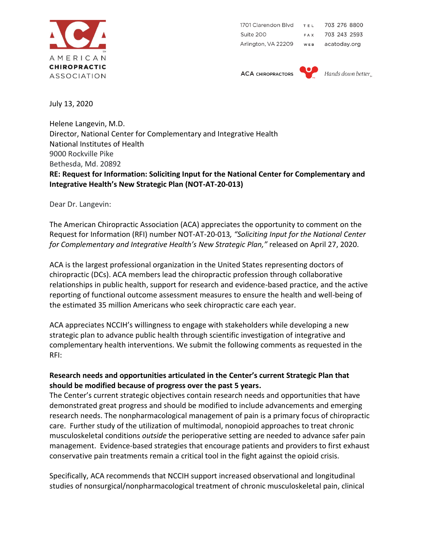

1701 Clarendon Blvd TEL 703 276 8800 Suite 200 703 243 2593 **FAX** Arlington, VA 22209 acatoday.org WEB

**ACA CHIROPRACTORS** 



Hands down better

July 13, 2020

Helene Langevin, M.D. Director, National Center for Complementary and Integrative Health National Institutes of Health 9000 Rockville Pike Bethesda, Md. 20892 **RE: Request for Information: Soliciting Input for the National Center for Complementary and Integrative Health's New Strategic Plan (NOT-AT-20-013)**

Dear Dr. Langevin:

The American Chiropractic Association (ACA) appreciates the opportunity to comment on the Request for Information (RFI) number NOT-AT-20-013*, "Soliciting Input for the National Center for Complementary and Integrative Health's New Strategic Plan,"* released on April 27, 2020.

ACA is the largest professional organization in the United States representing doctors of chiropractic (DCs). ACA members lead the chiropractic profession through collaborative relationships in public health, support for research and evidence-based practice, and the active reporting of functional outcome assessment measures to ensure the health and well-being of the estimated 35 million Americans who seek chiropractic care each year.

ACA appreciates NCCIH's willingness to engage with stakeholders while developing a new strategic plan to advance public health through scientific investigation of integrative and complementary health interventions. We submit the following comments as requested in the RFI:

# **Research needs and opportunities articulated in the Center's current Strategic Plan that should be modified because of progress over the past 5 years.**

The Center's current strategic objectives contain research needs and opportunities that have demonstrated great progress and should be modified to include advancements and emerging research needs. The nonpharmacological management of pain is a primary focus of chiropractic care. Further study of the utilization of multimodal, nonopioid approaches to treat chronic musculoskeletal conditions *outside* the perioperative setting are needed to advance safer pain management. Evidence-based strategies that encourage patients and providers to first exhaust conservative pain treatments remain a critical tool in the fight against the opioid crisis.

Specifically, ACA recommends that NCCIH support increased observational and longitudinal studies of nonsurgical/nonpharmacological treatment of chronic musculoskeletal pain, clinical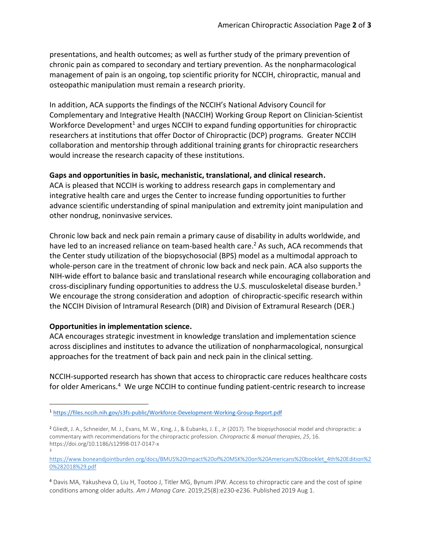presentations, and health outcomes; as well as further study of the primary prevention of chronic pain as compared to secondary and tertiary prevention. As the nonpharmacological management of pain is an ongoing, top scientific priority for NCCIH, chiropractic, manual and osteopathic manipulation must remain a research priority.

In addition, ACA supports the findings of the NCCIH's National Advisory Council for Complementary and Integrative Health (NACCIH) Working Group Report on Clinician-Scientist Workforce Development<sup>1</sup> and urges NCCIH to expand funding opportunities for chiropractic researchers at institutions that offer Doctor of Chiropractic (DCP) programs. Greater NCCIH collaboration and mentorship through additional training grants for chiropractic researchers would increase the research capacity of these institutions.

## **Gaps and opportunities in basic, mechanistic, translational, and clinical research.**

ACA is pleased that NCCIH is working to address research gaps in complementary and integrative health care and urges the Center to increase funding opportunities to further advance scientific understanding of spinal manipulation and extremity joint manipulation and other nondrug, noninvasive services.

Chronic low back and neck pain remain a primary cause of disability in adults worldwide, and have led to an increased reliance on team-based health care.<sup>2</sup> As such, ACA recommends that the Center study utilization of the biopsychosocial (BPS) model as a multimodal approach to whole-person care in the treatment of chronic low back and neck pain. ACA also supports the NIH-wide effort to balance basic and translational research while encouraging collaboration and cross-disciplinary funding opportunities to address the U.S. musculoskeletal disease burden.<sup>3</sup> We encourage the strong consideration and adoption of chiropractic-specific research within the NCCIH Division of Intramural Research (DIR) and Division of Extramural Research (DER.)

## **Opportunities in implementation science.**

3

ACA encourages strategic investment in knowledge translation and implementation science across disciplines and institutes to advance the utilization of nonpharmacological, nonsurgical approaches for the treatment of back pain and neck pain in the clinical setting.

NCCIH-supported research has shown that access to chiropractic care reduces healthcare costs for older Americans.<sup>4</sup> We urge NCCIH to continue funding patient-centric research to increase

<sup>1</sup> <https://files.nccih.nih.gov/s3fs-public/Workforce-Development-Working-Group-Report.pdf>

<sup>2</sup> Gliedt, J. A., Schneider, M. J., Evans, M. W., King, J., & Eubanks, J. E., Jr (2017). The biopsychosocial model and chiropractic: a commentary with recommendations for the chiropractic profession. *Chiropractic & manual therapies*, *25*, 16. https://doi.org/10.1186/s12998-017-0147-x

[https://www.boneandjointburden.org/docs/BMUS%20Impact%20of%20MSK%20on%20Americans%20booklet\\_4th%20Edition%2](https://www.boneandjointburden.org/docs/BMUS%20Impact%20of%20MSK%20on%20Americans%20booklet_4th%20Edition%20%282018%29.pdf) [0%282018%29.pdf](https://www.boneandjointburden.org/docs/BMUS%20Impact%20of%20MSK%20on%20Americans%20booklet_4th%20Edition%20%282018%29.pdf)

<sup>4</sup> Davis MA, Yakusheva O, Liu H, Tootoo J, Titler MG, Bynum JPW. Access to chiropractic care and the cost of spine conditions among older adults. *Am J Manag Care*. 2019;25(8):e230-e236. Published 2019 Aug 1.